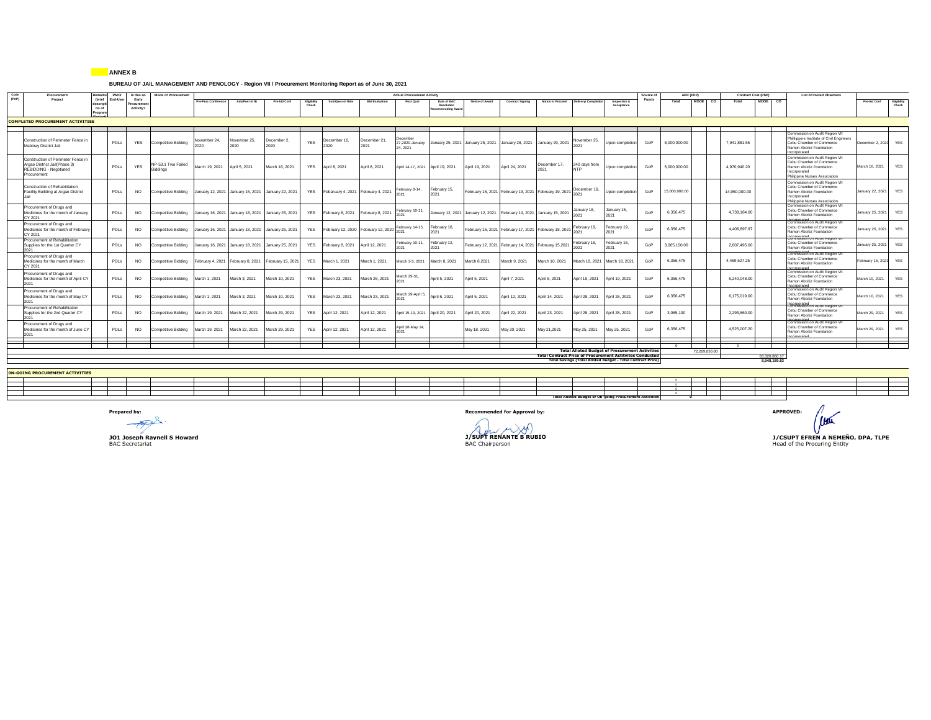## **ANNEX B**

## **BUREAU OF JAIL MANAGEMENT AND PENOLOGY - Region VII / Procurement Monitoring Report as of June 30, 2021**

| Code<br>Procurement<br>(PAP)                                                                                | Remarks          | PMO/            | Is this an                      | <b>Mode of Procurement</b>                                             |                     |                      |                                                                        |                      |                                                     |                       | <b>Actual Procurement Activity</b>      |                                                |                 |                                                                      |                |                                        |                                                                                                                                                                                                | Source of | ABC (PhP)     |               | Contract Cost (PhP) |               | List of Invited Observers                                                                                                                          |                     |                      |
|-------------------------------------------------------------------------------------------------------------|------------------|-----------------|---------------------------------|------------------------------------------------------------------------|---------------------|----------------------|------------------------------------------------------------------------|----------------------|-----------------------------------------------------|-----------------------|-----------------------------------------|------------------------------------------------|-----------------|----------------------------------------------------------------------|----------------|----------------------------------------|------------------------------------------------------------------------------------------------------------------------------------------------------------------------------------------------|-----------|---------------|---------------|---------------------|---------------|----------------------------------------------------------------------------------------------------------------------------------------------------|---------------------|----------------------|
| Project                                                                                                     | on of<br>Program | (brief End-User | Early<br>rocuremen<br>Activity? |                                                                        | Pre-Proc Conference | Ads/Post of IB       | Pre-bid Conf                                                           | Eligibility<br>Check | Sub/Open of Bids                                    | <b>Bid Evaluation</b> | Post Qual                               | Date of BAC<br>Resolution<br>ecommending Award | Notice of Award | <b>Contract Signing</b>                                              |                | Notice to Proceed Delivery/ Completion | Inspection &<br>Acceptance                                                                                                                                                                     | Funds     | Total         | MOOE CO       | Total               | MODE CO       |                                                                                                                                                    | <b>Pre-bid Conf</b> | Eligibility<br>Cheri |
| <b>COMPLETED PROCUREMENT ACTIVITIES</b>                                                                     |                  |                 |                                 |                                                                        |                     |                      |                                                                        |                      |                                                     |                       |                                         |                                                |                 |                                                                      |                |                                        |                                                                                                                                                                                                |           |               |               |                     |               |                                                                                                                                                    |                     |                      |
|                                                                                                             |                  |                 |                                 |                                                                        |                     |                      |                                                                        |                      |                                                     |                       |                                         |                                                |                 |                                                                      |                |                                        |                                                                                                                                                                                                |           |               |               |                     |               |                                                                                                                                                    |                     |                      |
| Construction of Perimeter Fence in<br>Mabinay District Jail                                                 |                  | PDLs            | <b>YES</b>                      | Competitive Bidding                                                    | lovember 24,        | November 25.<br>2020 | December 2.<br>2020                                                    | <b>YES</b>           | December 16.<br>2020                                | December 21,<br>2021  | Jecember<br>27,2020-January<br>24, 2021 |                                                |                 | January 25, 2021 January 25, 2021 January 28, 2021 January 29, 2021  |                | November 25.<br>2021                   | Upon completion                                                                                                                                                                                | GoP       | 8.000.000.00  |               | 7.941.881.55        |               | Commission on Audit Region VII<br>Phililippine Institute of Civil Engineers<br>Cebu Chamber of Commerce<br>Ramon Aboitiz Foundation<br>ncorporated | December 2, 2020    | <b>YES</b>           |
| Construction of Perimeter Fence in<br>Argao District Jail(Phase 3)<br>REBIDDING - Negotiated<br>Procurement |                  | PDLs            | <b>YES</b>                      | NP-53.1 Two Failed<br>Biddings                                         | March 19, 2021      | April 5, 2021        | March 16, 2021                                                         | <b>YES</b>           | April 8, 2021                                       | April 8, 2021         | April 14-17, 2021 April 19, 2021        |                                                | April 19, 2021  | April 24, 2021                                                       | December 17,   | 240 days from<br><b>NTP</b>            | Upon completion                                                                                                                                                                                | GoP       | 5.000.000.00  |               | 4.970.940.20        |               | Commission on Audit Region VII<br>Cebu Chamber of Commerce<br>Ramon Aboitiz Foundation<br>Incorporated<br>Philippine Nurses Association            | March 16, 2021      | YES                  |
| Construction of Rehabilitation<br>Facility Building at Argao District                                       |                  | PDLs            | <b>NO</b>                       | Competitive Bidding January 12, 2021 January 15, 2021 January 22, 2021 |                     |                      |                                                                        |                      | YES Febaruary 4, 2021 February 4, 2021              |                       | February 8-14,<br>2021                  | February 15,                                   |                 | February 16, 2021 February 19, 2021 February 19, 2021 2021 2021      |                |                                        | Upon completion                                                                                                                                                                                | GoP       | 15.000.000.00 |               | 14,950,000.00       |               | Commission on Audit Region VII<br>Cebu Chamber of Commerce<br>Ramon Aboitiz Foundation<br>Incorporated<br>Philippine Nurses Association            | January 22, 2021    | YES                  |
| Procurement of Drugs and<br>Medicines for the month of January<br>CY 2021                                   |                  | PDLs            | <b>NO</b>                       |                                                                        |                     |                      | Competitive Bidding January 16, 2021 January 18, 2021 January 25, 2021 | YES                  | February 8, 2021 February 8, 2021                   |                       | February 10-11,                         |                                                |                 | January 12, 2021 January 12, 2021 February 14, 2021 January 15, 2021 |                | January 16,                            | lanuary 16,<br>2021                                                                                                                                                                            | GoP       | 6.356.475     |               | 4,738,184.00        |               | Commission on Audit Region VI<br>Cebu Chamber of Commerce<br>Ramon Aboitiz Foundation<br>heteromon                                                 | January 25, 2021    | <b>YES</b>           |
| Procurement of Drugs and<br>Medicines for the month of February<br>CY 2021                                  |                  | PDLs            | <b>NO</b>                       | Competitive Bidding                                                    |                     |                      | January 16, 2021 January 18, 2021 January 25, 2021                     | <b>YES</b>           | February 12, 2020 February 12, 2020 February 14-15, |                       |                                         | February 16,                                   |                 | February 16, 2021 February 17, 2021 February 18, 2021                |                | February 19,                           | February 19,<br>2021                                                                                                                                                                           | GoP       | 6.356.475     |               | 4.408.897.97        |               | Commission on Audit Region VII<br>Cebu Chamber of Commerce<br>Ramon Aboitiz Foundation                                                             | January 25, 2021    | YES                  |
| Procurement of Rehabilitation<br>Supplies for the 1st Quarter CY                                            |                  | PDLs            | <b>NO</b>                       | Competitive Bidding                                                    |                     |                      | January 16, 2021 January 18, 2021 January 25, 2021                     | <b>YES</b>           | February 8, 2021 April 12, 2021                     |                       | ebruary 10-11,                          | February 12,                                   |                 | February 12, 2021 February 14, 2021 February 15, 2021                |                | February 16,                           | February 16,<br>2021                                                                                                                                                                           | GoP       | 3.065.100.00  |               | 2.607.495.00        |               | Composited on August Region<br>Cebu Chamber of Commerce<br>Ramon Aboitiz Foundation                                                                | January 25, 2021    | <b>YES</b>           |
| Procurement of Drugs and<br>Medicines for the month of March<br>CY 2021                                     |                  | PDLs            | <b>NO</b>                       | Competitive Bidding                                                    |                     |                      | February 4, 2021 February 8, 2021 February 15, 2021                    | YES                  | March 1, 2021                                       | March 1, 2021         | March 3-5, 2021                         | March 8, 2021                                  | March 8,2021    | March 9, 2021                                                        | March 10, 2021 |                                        | March 18, 2021 March 18, 2021                                                                                                                                                                  | GoP       | 6.356.475     |               | 4.469.527.25        |               | Commission on Audit Region VI<br>Cebu Chamber of Commerce<br>Ramon Aboitiz Foundation                                                              | February 15, 2021   | YES                  |
| Procurement of Drugs and<br>Medicines for the month of April CY<br>2021                                     |                  | PDLs            | <b>NO</b>                       | Competitive Bidding                                                    | March 1, 2021       | March 3, 2021        | March 10, 2021                                                         | YES                  | March 23, 2021                                      | March 26, 2021        | Aarch 29-31,                            | April 5, 2021                                  | April 5, 2021   | April 7, 2021                                                        | April 8, 2021  | April 19, 2021                         | April 19, 2021                                                                                                                                                                                 | GoP       | 6,356,475     |               | 6,240,048.00        |               | Commission on Audit Region VII<br>Cebu Chamber of Commerce<br>Ramon Aboitiz Foundation                                                             | March 10, 2021      | <b>YES</b>           |
| Procurement of Drugs and<br>Medicines for the month of May CY<br>2021                                       |                  | PDLs            | <b>NO</b>                       | Competitive Bidding                                                    | March 1, 2021       | March 3, 2021        | March 10, 2021                                                         | <b>YES</b>           | March 23, 2021                                      | March 23, 2021        | March 29-April 5,                       | April 6, 2021                                  | April 5, 2021   | April 12, 2021                                                       | April 14, 2021 | April 28, 2021                         | April 28, 2021                                                                                                                                                                                 | GoP       | 6.356.475     |               | 6.175.019.00        |               | Incorporated<br>Commission on Audit Region VII<br>Cebu Chamber of Commerce<br>Ramon Aboitiz Foundation                                             | March 10, 2021      | <b>YES</b>           |
| Procurement of Rehabilitation<br>Supplies for the 2nd Quarter CY<br>2021                                    |                  | PDLs            | <b>NO</b>                       | Competitive Bidding                                                    | March 19, 2021      | March 22, 2021       | March 29, 2021                                                         | YES                  | April 12, 2021                                      | April 12, 2021        |                                         | April 15-19, 2021 April 20, 2021               | April 20, 2021  | April 22, 2021                                                       | April 23, 2021 | April 28, 2021                         | April 28, 2021                                                                                                                                                                                 | GoP       | 3.065.100     |               | 2,293,860.00        |               | <b>KNINGSted</b> on Audit Region V<br>Cebu Chamber of Commerce<br>Ramon Aboitiz Foundation                                                         | March 29, 2021      | <b>YES</b>           |
| Procurement of Drugs and<br>Medicines for the month of June CY                                              |                  | PDLs            | <b>NO</b>                       | Competitive Bidding                                                    | March 19, 2021      | March 22, 2021       | March 29, 2021                                                         | YES                  | April 12, 2021                                      | April 12, 2021        | April 28-May 14                         |                                                | May 18, 2021    | May 20, 2021                                                         | May 21,2021    | May 25, 2021                           | May 25, 2021                                                                                                                                                                                   | GoP       | 6.356.475     |               | 4.525.007.20        |               | Commission on Audit Region VI<br>Cebu Chamber of Commerce<br>Ramon Aboitiz Foundation                                                              | March 29, 2021      | <b>YES</b>           |
|                                                                                                             |                  |                 |                                 |                                                                        |                     |                      |                                                                        |                      |                                                     |                       |                                         |                                                |                 |                                                                      |                |                                        |                                                                                                                                                                                                |           |               |               |                     |               |                                                                                                                                                    |                     |                      |
|                                                                                                             |                  |                 |                                 |                                                                        |                     |                      |                                                                        |                      |                                                     |                       |                                         |                                                |                 |                                                                      |                |                                        | <b>Total Alloted Budget of Procurement Activities</b><br><b>Total Contract Price of Procurement Actityites Conducted</b><br><b>Total Savings (Total Alloted Budget - Total Contract Price)</b> |           |               | 72.269.050.00 |                     | 63 320 860 17 |                                                                                                                                                    |                     |                      |
|                                                                                                             |                  |                 |                                 |                                                                        |                     |                      |                                                                        |                      |                                                     |                       |                                         |                                                |                 |                                                                      |                |                                        |                                                                                                                                                                                                |           |               |               |                     | 8,948,189.83  |                                                                                                                                                    |                     |                      |
| <b>ON-GOING PROCUREMENT ACTIVITIES</b>                                                                      |                  |                 |                                 |                                                                        |                     |                      |                                                                        |                      |                                                     |                       |                                         |                                                |                 |                                                                      |                |                                        |                                                                                                                                                                                                |           |               |               |                     |               |                                                                                                                                                    |                     |                      |
|                                                                                                             |                  |                 |                                 |                                                                        |                     |                      |                                                                        |                      |                                                     |                       |                                         |                                                |                 |                                                                      |                |                                        |                                                                                                                                                                                                |           |               |               |                     |               |                                                                                                                                                    |                     |                      |

|  | ON-GOING PROCUREMENT ACTIVITIES |  |  |  |  |  |  |                                                                |  |  |  |  |
|--|---------------------------------|--|--|--|--|--|--|----------------------------------------------------------------|--|--|--|--|
|  |                                 |  |  |  |  |  |  |                                                                |  |  |  |  |
|  |                                 |  |  |  |  |  |  |                                                                |  |  |  |  |
|  |                                 |  |  |  |  |  |  |                                                                |  |  |  |  |
|  |                                 |  |  |  |  |  |  |                                                                |  |  |  |  |
|  |                                 |  |  |  |  |  |  | <b>Total Alloted Budget of On-going Procurement Activities</b> |  |  |  |  |
|  |                                 |  |  |  |  |  |  |                                                                |  |  |  |  |

**BAC SECRETARY**<br>**BAC Chairperson** 

 $\int$ **Prepared by: Recommended for Approval by: APPROVED: APPROVED: APPROVED: APPROVED: APPROVED: APPROVED: APPROVED: APPROVED: APPROVED: APPROVED: APPROVED: A JOINT RENANTE B RUBIO**<br> **JOINT RENANTE B RUBIO**<br>
BAC Secretariat **SAC Secretariat Head of the Procuring Entity**<br> **BAC Secretariat Head of the Procuring Entity**